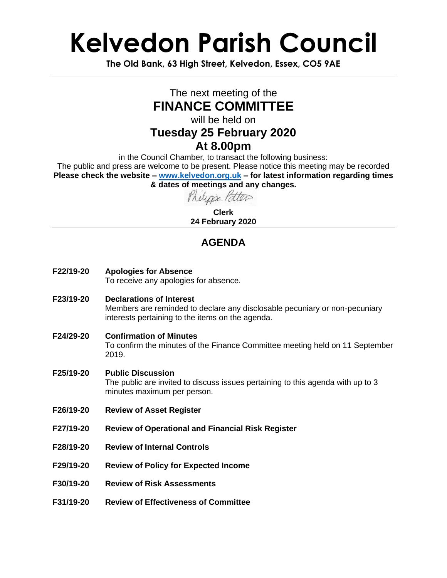# **Kelvedon Parish Council**

**The Old Bank, 63 High Street, Kelvedon, Essex, CO5 9AE**

### The next meeting of the **FINANCE COMMITTEE**

will be held on

### **Tuesday 25 February 2020**

#### **At 8.00pm**

in the Council Chamber, to transact the following business: The public and press are welcome to be present. Please notice this meeting may be recorded **Please check the website – [www.kelvedon.org.uk](http://www.kelvedon.org.uk/) – for latest information regarding times & dates of meetings and any changes.**

Phelips Patter

**Clerk 24 February 2020**

### **AGENDA**

- **F22/19-20 Apologies for Absence** To receive any apologies for absence.
- **F23/19-20 Declarations of Interest** Members are reminded to declare any disclosable pecuniary or non-pecuniary interests pertaining to the items on the agenda.
- **F24/29-20 Confirmation of Minutes** To confirm the minutes of the Finance Committee meeting held on 11 September 2019.
- **F25/19-20 Public Discussion** The public are invited to discuss issues pertaining to this agenda with up to 3 minutes maximum per person.
- **F26/19-20 Review of Asset Register**
- **F27/19-20 Review of Operational and Financial Risk Register**
- **F28/19-20 Review of Internal Controls**
- **F29/19-20 Review of Policy for Expected Income**
- **F30/19-20 Review of Risk Assessments**
- **F31/19-20 Review of Effectiveness of Committee**